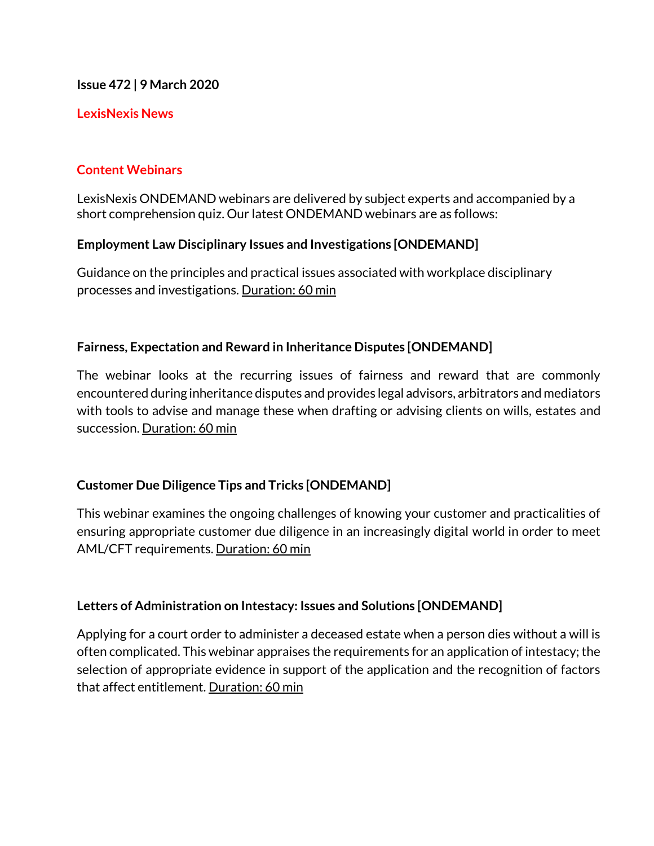**Issue 472 | 9 March 2020**

#### **LexisNexis News**

## **Content Webinars**

LexisNexis ONDEMAND webinars are delivered by subject experts and accompanied by a short comprehension quiz. Our latest ONDEMAND webinars are as follows:

## **Employment Law Disciplinary Issues and Investigations [ONDEMAND]**

Guidance on the principles and practical issues associated with workplace disciplinary processes and investigations. Duration: 60 min

## **Fairness, Expectation and Reward in Inheritance Disputes [ONDEMAND]**

The webinar looks at the recurring issues of fairness and reward that are commonly encountered during inheritance disputes and provides legal advisors, arbitrators and mediators with tools to advise and manage these when drafting or advising clients on wills, estates and succession. Duration: 60 min

## **Customer Due Diligence Tips and Tricks [ONDEMAND]**

This webinar examines the ongoing challenges of knowing your customer and practicalities of ensuring appropriate customer due diligence in an increasingly digital world in order to meet AML/CFT requirements. Duration: 60 min

## **Letters of Administration on Intestacy: Issues and Solutions [ONDEMAND]**

Applying for a court order to administer a deceased estate when a person dies without a will is often complicated. This webinar appraises the requirements for an application of intestacy; the selection of appropriate evidence in support of the application and the recognition of factors that affect entitlement. Duration: 60 min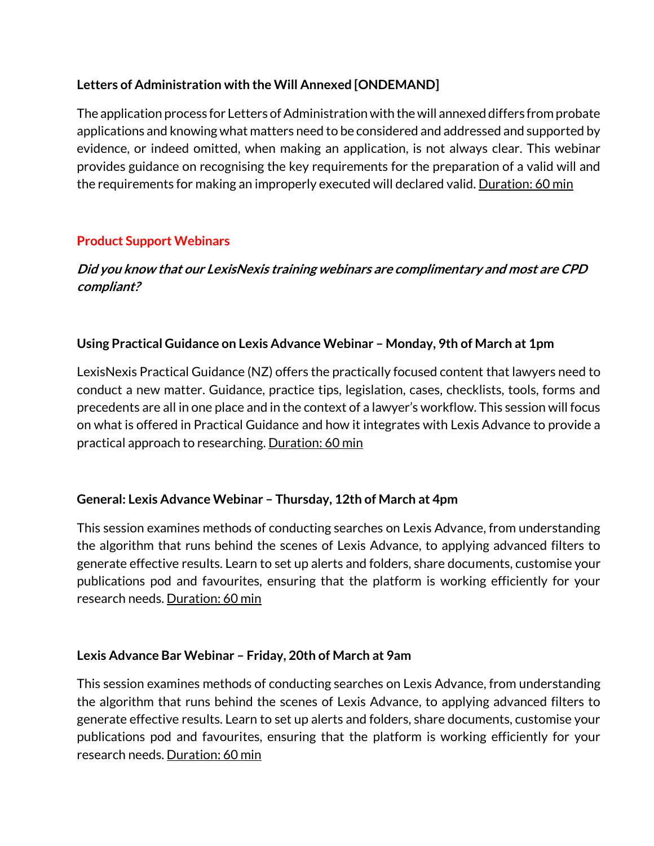# **Letters of Administration with the Will Annexed [ONDEMAND]**

The application process for Letters of Administration with the will annexed differs from probate applications and knowing what matters need to be considered and addressed and supported by evidence, or indeed omitted, when making an application, is not always clear. This webinar provides guidance on recognising the key requirements for the preparation of a valid will and the requirements for making an improperly executed will declared valid. Duration: 60 min

# **Product Support Webinars**

# **Did you know that our LexisNexis training webinars are complimentary and most are CPD compliant?**

## **Using Practical Guidance on Lexis Advance Webinar – Monday, 9th of March at 1pm**

LexisNexis Practical Guidance (NZ) offers the practically focused content that lawyers need to conduct a new matter. Guidance, practice tips, legislation, cases, checklists, tools, forms and precedents are all in one place and in the context of a lawyer's workflow. This session will focus on what is offered in Practical Guidance and how it integrates with Lexis Advance to provide a practical approach to researching. Duration: 60 min

## **General: Lexis Advance Webinar – Thursday, 12th of March at 4pm**

This session examines methods of conducting searches on Lexis Advance, from understanding the algorithm that runs behind the scenes of Lexis Advance, to applying advanced filters to generate effective results. Learn to set up alerts and folders, share documents, customise your publications pod and favourites, ensuring that the platform is working efficiently for your research needs. Duration: 60 min

## **Lexis Advance Bar Webinar – Friday, 20th of March at 9am**

This session examines methods of conducting searches on Lexis Advance, from understanding the algorithm that runs behind the scenes of Lexis Advance, to applying advanced filters to generate effective results. Learn to set up alerts and folders, share documents, customise your publications pod and favourites, ensuring that the platform is working efficiently for your research needs. Duration: 60 min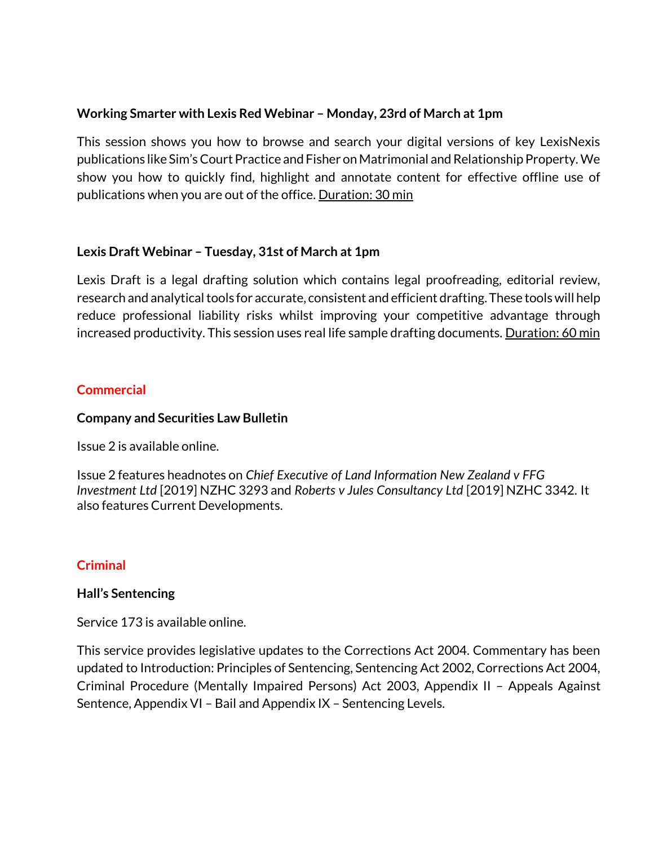## **Working Smarter with Lexis Red Webinar – Monday, 23rd of March at 1pm**

This session shows you how to browse and search your digital versions of key LexisNexis publications like Sim's Court Practice and Fisher on Matrimonial and Relationship Property. We show you how to quickly find, highlight and annotate content for effective offline use of publications when you are out of the office. Duration: 30 min

## **Lexis Draft Webinar – Tuesday, 31st of March at 1pm**

Lexis Draft is a legal drafting solution which contains legal proofreading, editorial review, research and analytical tools for accurate, consistent and efficient drafting. These tools will help reduce professional liability risks whilst improving your competitive advantage through increased productivity. This session uses real life sample drafting documents. Duration: 60 min

# **Commercial**

#### **Company and Securities Law Bulletin**

Issue 2 is available online.

Issue 2 features headnotes on *Chief Executive of Land Information New Zealand v FFG Investment Ltd* [2019] NZHC 3293 and *Roberts v Jules Consultancy Ltd* [2019] NZHC 3342*.* It also features Current Developments.

## **Criminal**

## **Hall's Sentencing**

Service 173 is available online.

This service provides legislative updates to the Corrections Act 2004. Commentary has been updated to Introduction: Principles of Sentencing, Sentencing Act 2002, Corrections Act 2004, Criminal Procedure (Mentally Impaired Persons) Act 2003, Appendix II – Appeals Against Sentence, Appendix VI – Bail and Appendix IX – Sentencing Levels.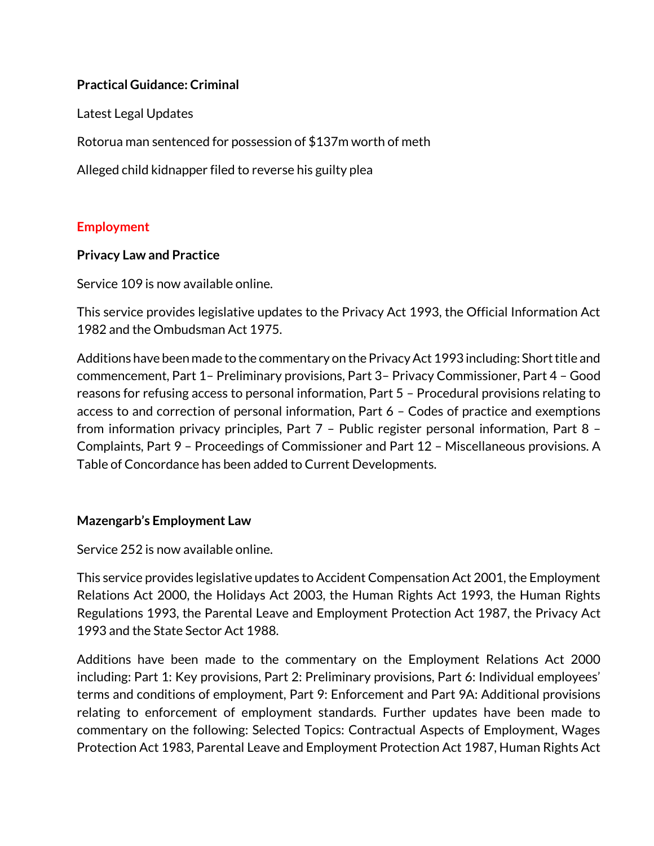## **Practical Guidance: Criminal**

Latest Legal Updates

Rotorua man sentenced for possession of \$137m worth of meth

Alleged child kidnapper filed to reverse his guilty plea

## **Employment**

## **Privacy Law and Practice**

Service 109 is now available online.

This service provides legislative updates to the Privacy Act 1993, the Official Information Act 1982 and the Ombudsman Act 1975.

Additions have been made to the commentary on the Privacy Act 1993 including: Short title and commencement, Part 1– Preliminary provisions, Part 3– Privacy Commissioner, Part 4 – Good reasons for refusing access to personal information, Part 5 – Procedural provisions relating to access to and correction of personal information, Part 6 – Codes of practice and exemptions from information privacy principles, Part 7 – Public register personal information, Part 8 – Complaints, Part 9 – Proceedings of Commissioner and Part 12 – Miscellaneous provisions. A Table of Concordance has been added to Current Developments.

## **Mazengarb's Employment Law**

Service 252 is now available online.

This service provides legislative updates to Accident Compensation Act 2001, the Employment Relations Act 2000, the Holidays Act 2003, the Human Rights Act 1993, the Human Rights Regulations 1993, the Parental Leave and Employment Protection Act 1987, the Privacy Act 1993 and the State Sector Act 1988.

Additions have been made to the commentary on the Employment Relations Act 2000 including: Part 1: Key provisions, Part 2: Preliminary provisions, Part 6: Individual employees' terms and conditions of employment, Part 9: Enforcement and Part 9A: Additional provisions relating to enforcement of employment standards. Further updates have been made to commentary on the following: Selected Topics: Contractual Aspects of Employment, Wages Protection Act 1983, Parental Leave and Employment Protection Act 1987, Human Rights Act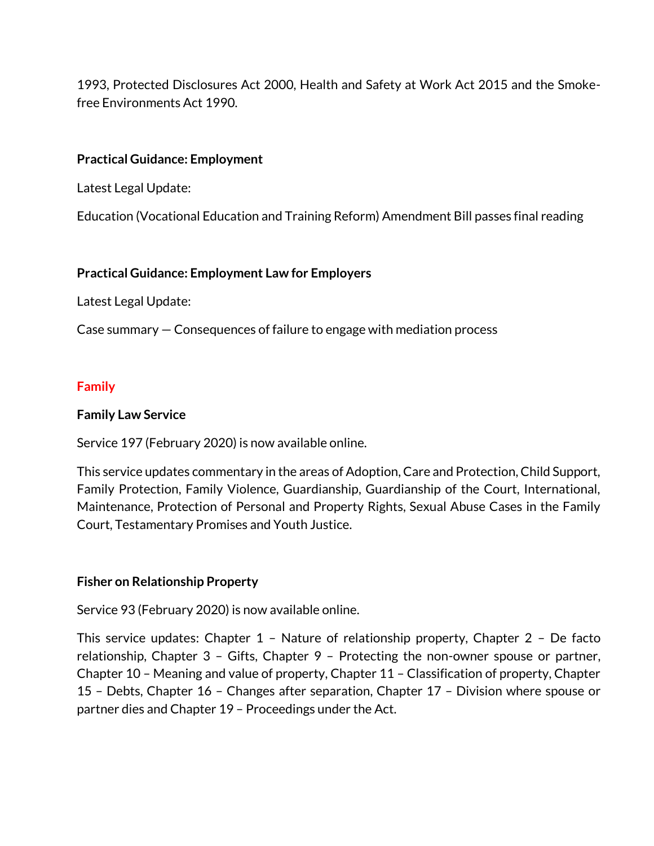1993, Protected Disclosures Act 2000, Health and Safety at Work Act 2015 and the Smokefree Environments Act 1990.

## **Practical Guidance: Employment**

Latest Legal Update:

Education (Vocational Education and Training Reform) Amendment Bill passes final reading

## **Practical Guidance: Employment Law for Employers**

Latest Legal Update:

Case summary — Consequences of failure to engage with mediation process

## **Family**

## **Family Law Service**

Service 197 (February 2020) is now available online.

This service updates commentary in the areas of Adoption, Care and Protection, Child Support, Family Protection, Family Violence, Guardianship, Guardianship of the Court, International, Maintenance, Protection of Personal and Property Rights, Sexual Abuse Cases in the Family Court, Testamentary Promises and Youth Justice.

## **Fisher on Relationship Property**

Service 93 (February 2020) is now available online.

This service updates: Chapter 1 – Nature of relationship property, Chapter 2 – De facto relationship, Chapter 3 – Gifts, Chapter 9 – Protecting the non-owner spouse or partner, Chapter 10 – Meaning and value of property, Chapter 11 – Classification of property, Chapter 15 – Debts, Chapter 16 – Changes after separation, Chapter 17 – Division where spouse or partner dies and Chapter 19 – Proceedings under the Act.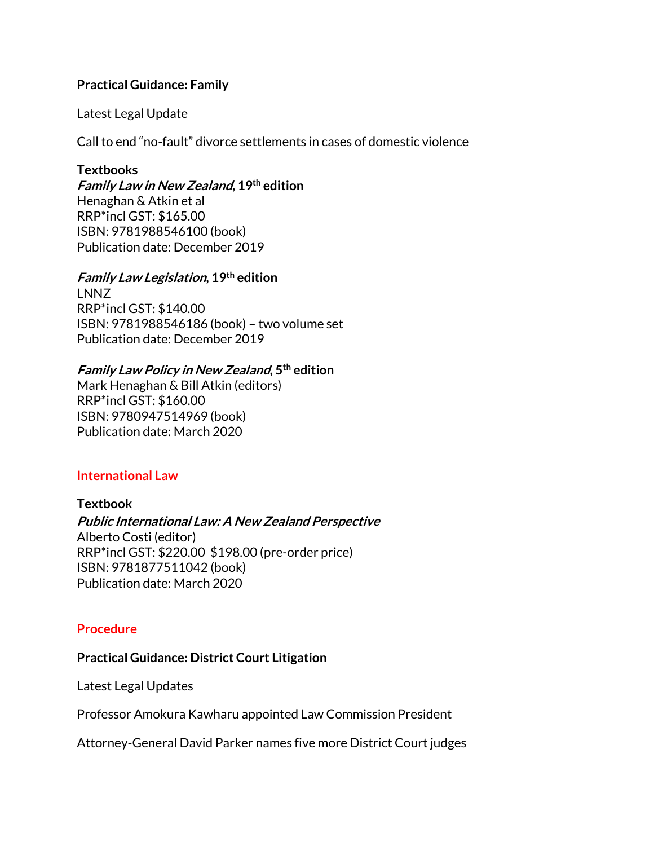#### **Practical Guidance: Family**

Latest Legal Update

Call to end "no-fault" divorce settlements in cases of domestic violence

#### **Textbooks**

**Family Law in New Zealand, 19th edition** Henaghan & Atkin et al RRP\*incl GST: \$165.00 ISBN: 9781988546100 (book) Publication date: December 2019

#### **Family Law Legislation, 19th edition**

LNNZ RRP\*incl GST: \$140.00 ISBN: 9781988546186 (book) – two volume set Publication date: December 2019

## **Family Law Policy in New Zealand, 5th edition**

Mark Henaghan & Bill Atkin (editors) RRP\*incl GST: \$160.00 ISBN: 9780947514969 (book) Publication date: March 2020

## **International Law**

#### **Textbook**

**Public International Law: A New Zealand Perspective**  Alberto Costi (editor) RRP\*incl GST: \$220.00 \$198.00 (pre-order price) ISBN: 9781877511042 (book) Publication date: March 2020

#### **Procedure**

#### **Practical Guidance: District Court Litigation**

Latest Legal Updates

Professor Amokura Kawharu appointed Law Commission President

Attorney-General David Parker names five more District Court judges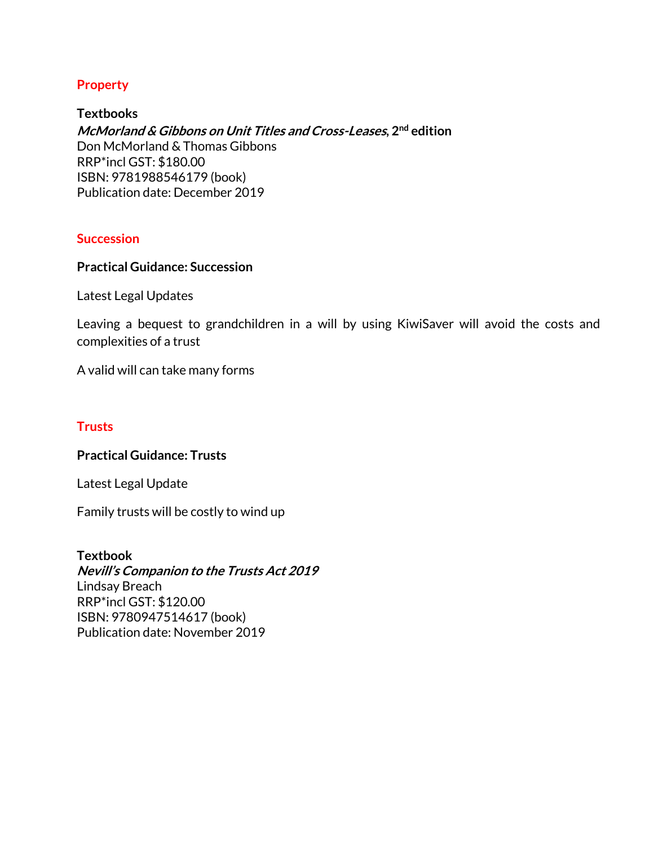#### **Property**

**Textbooks McMorland & Gibbons on Unit Titles and Cross-Leases, 2nd edition** Don McMorland & Thomas Gibbons RRP\*incl GST: \$180.00 ISBN: 9781988546179 (book) Publication date: December 2019

#### **Succession**

#### **Practical Guidance: Succession**

Latest Legal Updates

Leaving a bequest to grandchildren in a will by using KiwiSaver will avoid the costs and complexities of a trust

A valid will can take many forms

#### **Trusts**

#### **Practical Guidance: Trusts**

Latest Legal Update

Family trusts will be costly to wind up

#### **Textbook**

**Nevill's Companion to the Trusts Act 2019** Lindsay Breach RRP\*incl GST: \$120.00 ISBN: 9780947514617 (book) Publication date: November 2019